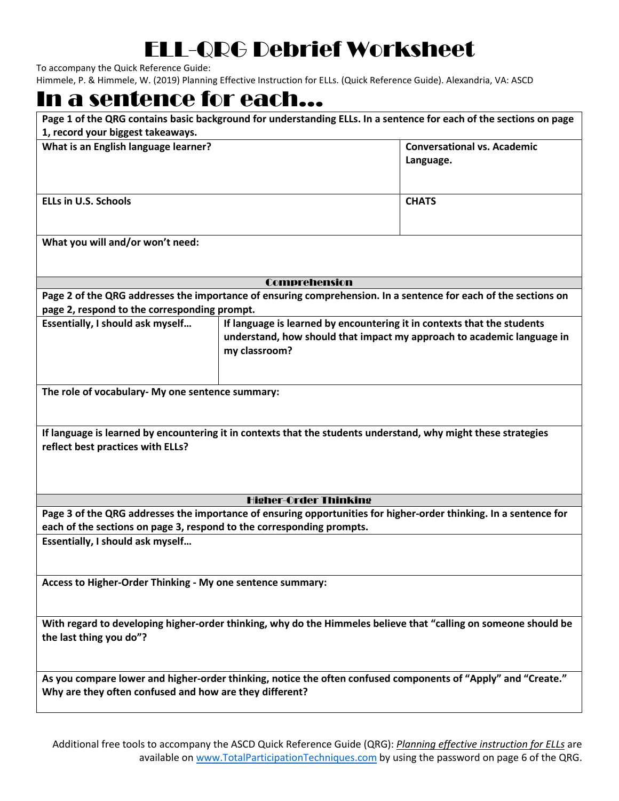## ELL-QRG Debrief Worksheet

To accompany the Quick Reference Guide:

Himmele, P. & Himmele, W. (2019) Planning Effective Instruction for ELLs. (Quick Reference Guide). Alexandria, VA: ASCD

## In a sentence for each…

| 1, record your biggest takeaways.                                                                                                                                                                                              | Page 1 of the QRG contains basic background for understanding ELLs. In a sentence for each of the sections on page                                                 |                                                 |  |  |
|--------------------------------------------------------------------------------------------------------------------------------------------------------------------------------------------------------------------------------|--------------------------------------------------------------------------------------------------------------------------------------------------------------------|-------------------------------------------------|--|--|
| What is an English language learner?                                                                                                                                                                                           |                                                                                                                                                                    | <b>Conversational vs. Academic</b><br>Language. |  |  |
| <b>ELLs in U.S. Schools</b>                                                                                                                                                                                                    |                                                                                                                                                                    | <b>CHATS</b>                                    |  |  |
| What you will and/or won't need:                                                                                                                                                                                               |                                                                                                                                                                    |                                                 |  |  |
| <b>Comprehension</b>                                                                                                                                                                                                           |                                                                                                                                                                    |                                                 |  |  |
| Page 2 of the QRG addresses the importance of ensuring comprehension. In a sentence for each of the sections on                                                                                                                |                                                                                                                                                                    |                                                 |  |  |
| page 2, respond to the corresponding prompt.                                                                                                                                                                                   |                                                                                                                                                                    |                                                 |  |  |
| Essentially, I should ask myself                                                                                                                                                                                               | If language is learned by encountering it in contexts that the students<br>understand, how should that impact my approach to academic language in<br>my classroom? |                                                 |  |  |
| The role of vocabulary- My one sentence summary:                                                                                                                                                                               |                                                                                                                                                                    |                                                 |  |  |
| If language is learned by encountering it in contexts that the students understand, why might these strategies<br>reflect best practices with ELLs?                                                                            |                                                                                                                                                                    |                                                 |  |  |
|                                                                                                                                                                                                                                | <b>Higher-Order Thinking</b>                                                                                                                                       |                                                 |  |  |
| Page 3 of the QRG addresses the importance of ensuring opportunities for higher-order thinking. In a sentence for<br>each of the sections on page 3, respond to the corresponding prompts.<br>Essentially, I should ask myself |                                                                                                                                                                    |                                                 |  |  |
| Access to Higher-Order Thinking - My one sentence summary:                                                                                                                                                                     |                                                                                                                                                                    |                                                 |  |  |
| With regard to developing higher-order thinking, why do the Himmeles believe that "calling on someone should be<br>the last thing you do"?                                                                                     |                                                                                                                                                                    |                                                 |  |  |
| As you compare lower and higher-order thinking, notice the often confused components of "Apply" and "Create."<br>Why are they often confused and how are they different?                                                       |                                                                                                                                                                    |                                                 |  |  |
|                                                                                                                                                                                                                                |                                                                                                                                                                    |                                                 |  |  |

Additional free tools to accompany the ASCD Quick Reference Guide (QRG): *Planning effective instruction for ELLs* are available on [www.TotalParticipationTechniques.com](http://www.totalparticipationtechniques.com/) by using the password on page 6 of the QRG.